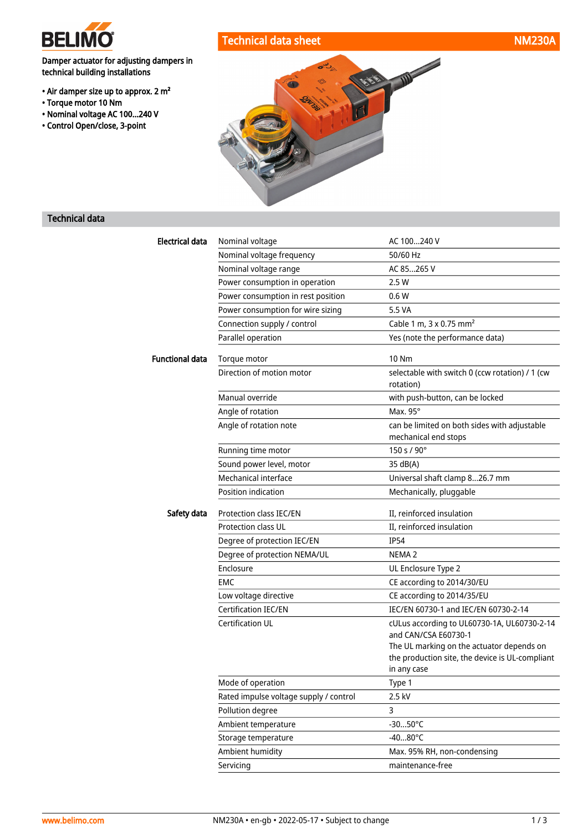

• Torque motor 10 Nm

technical building installations

• Air damper size up to approx. 2 m²

• Nominal voltage AC 100...240 V • Control Open/close, 3-point

# Technical data sheet NM230A



## Technical data

| <b>Electrical data</b> | Nominal voltage                                                                                                                                                                                                                                                                                                                                                                                                                                                                                                                                                       | AC 100240 V                                                                                                      |  |
|------------------------|-----------------------------------------------------------------------------------------------------------------------------------------------------------------------------------------------------------------------------------------------------------------------------------------------------------------------------------------------------------------------------------------------------------------------------------------------------------------------------------------------------------------------------------------------------------------------|------------------------------------------------------------------------------------------------------------------|--|
|                        | Nominal voltage frequency                                                                                                                                                                                                                                                                                                                                                                                                                                                                                                                                             | 50/60 Hz                                                                                                         |  |
|                        | Nominal voltage range                                                                                                                                                                                                                                                                                                                                                                                                                                                                                                                                                 | AC 85265 V                                                                                                       |  |
|                        | Power consumption in operation                                                                                                                                                                                                                                                                                                                                                                                                                                                                                                                                        | 2.5W                                                                                                             |  |
|                        | Power consumption in rest position                                                                                                                                                                                                                                                                                                                                                                                                                                                                                                                                    | 0.6W                                                                                                             |  |
|                        | Power consumption for wire sizing                                                                                                                                                                                                                                                                                                                                                                                                                                                                                                                                     | 5.5 VA                                                                                                           |  |
|                        | Connection supply / control                                                                                                                                                                                                                                                                                                                                                                                                                                                                                                                                           | Cable 1 m, 3 x 0.75 mm <sup>2</sup>                                                                              |  |
|                        | Parallel operation                                                                                                                                                                                                                                                                                                                                                                                                                                                                                                                                                    | Yes (note the performance data)                                                                                  |  |
| <b>Functional data</b> | Torque motor                                                                                                                                                                                                                                                                                                                                                                                                                                                                                                                                                          | 10 Nm                                                                                                            |  |
|                        |                                                                                                                                                                                                                                                                                                                                                                                                                                                                                                                                                                       | selectable with switch 0 (ccw rotation) / 1 (cw<br>rotation)                                                     |  |
|                        | Manual override                                                                                                                                                                                                                                                                                                                                                                                                                                                                                                                                                       | with push-button, can be locked                                                                                  |  |
|                        | Direction of motion motor<br>Angle of rotation<br>Angle of rotation note<br>Running time motor<br>Sound power level, motor<br>Mechanical interface<br>Position indication<br>Protection class IEC/EN<br>Safety data<br>Protection class UL<br>Degree of protection IEC/EN<br>Degree of protection NEMA/UL<br>Enclosure<br><b>EMC</b><br>Low voltage directive<br>Certification IEC/EN<br><b>Certification UL</b><br>Mode of operation<br>Rated impulse voltage supply / control<br>Pollution degree<br>Ambient temperature<br>Storage temperature<br>Ambient humidity | Max. 95°                                                                                                         |  |
|                        |                                                                                                                                                                                                                                                                                                                                                                                                                                                                                                                                                                       | can be limited on both sides with adjustable<br>mechanical end stops                                             |  |
|                        |                                                                                                                                                                                                                                                                                                                                                                                                                                                                                                                                                                       | 150 s / 90°                                                                                                      |  |
|                        |                                                                                                                                                                                                                                                                                                                                                                                                                                                                                                                                                                       | 35 dB(A)                                                                                                         |  |
|                        |                                                                                                                                                                                                                                                                                                                                                                                                                                                                                                                                                                       | Universal shaft clamp 826.7 mm                                                                                   |  |
|                        |                                                                                                                                                                                                                                                                                                                                                                                                                                                                                                                                                                       | Mechanically, pluggable                                                                                          |  |
|                        |                                                                                                                                                                                                                                                                                                                                                                                                                                                                                                                                                                       | II, reinforced insulation                                                                                        |  |
|                        |                                                                                                                                                                                                                                                                                                                                                                                                                                                                                                                                                                       | II, reinforced insulation                                                                                        |  |
|                        |                                                                                                                                                                                                                                                                                                                                                                                                                                                                                                                                                                       | <b>IP54</b>                                                                                                      |  |
|                        |                                                                                                                                                                                                                                                                                                                                                                                                                                                                                                                                                                       | NEMA <sub>2</sub>                                                                                                |  |
|                        |                                                                                                                                                                                                                                                                                                                                                                                                                                                                                                                                                                       | UL Enclosure Type 2                                                                                              |  |
|                        |                                                                                                                                                                                                                                                                                                                                                                                                                                                                                                                                                                       | CE according to 2014/30/EU                                                                                       |  |
|                        |                                                                                                                                                                                                                                                                                                                                                                                                                                                                                                                                                                       | CE according to 2014/35/EU                                                                                       |  |
|                        |                                                                                                                                                                                                                                                                                                                                                                                                                                                                                                                                                                       | IEC/EN 60730-1 and IEC/EN 60730-2-14                                                                             |  |
|                        |                                                                                                                                                                                                                                                                                                                                                                                                                                                                                                                                                                       | cULus according to UL60730-1A, UL60730-2-14<br>and CAN/CSA E60730-1<br>The UL marking on the actuator depends on |  |
|                        |                                                                                                                                                                                                                                                                                                                                                                                                                                                                                                                                                                       | the production site, the device is UL-compliant<br>in any case                                                   |  |
|                        |                                                                                                                                                                                                                                                                                                                                                                                                                                                                                                                                                                       | Type 1                                                                                                           |  |
|                        |                                                                                                                                                                                                                                                                                                                                                                                                                                                                                                                                                                       | 2.5 kV                                                                                                           |  |
|                        |                                                                                                                                                                                                                                                                                                                                                                                                                                                                                                                                                                       | 3                                                                                                                |  |
|                        |                                                                                                                                                                                                                                                                                                                                                                                                                                                                                                                                                                       | $-3050^{\circ}$ C                                                                                                |  |
|                        |                                                                                                                                                                                                                                                                                                                                                                                                                                                                                                                                                                       | $-4080^{\circ}$ C                                                                                                |  |
|                        |                                                                                                                                                                                                                                                                                                                                                                                                                                                                                                                                                                       | Max. 95% RH, non-condensing                                                                                      |  |
|                        | Servicing                                                                                                                                                                                                                                                                                                                                                                                                                                                                                                                                                             | maintenance-free                                                                                                 |  |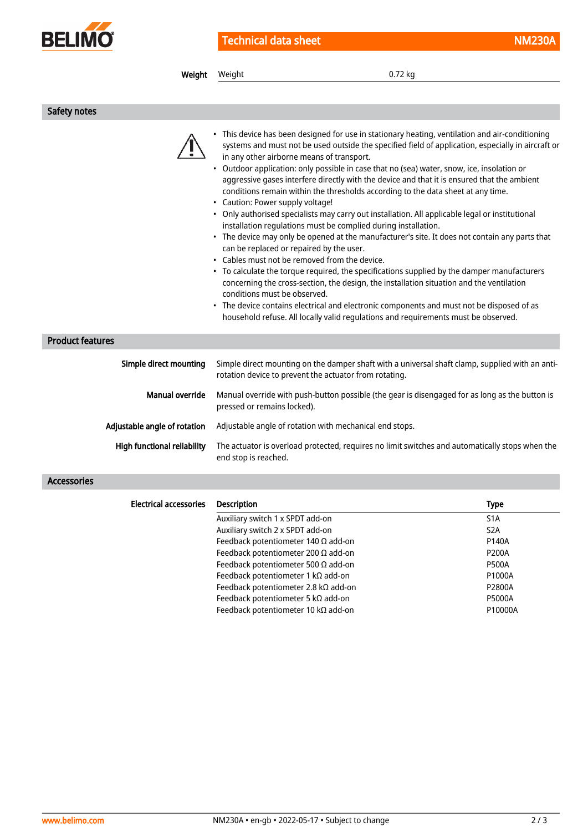

| Weight                        | Weight                                                                                                                                                                                                     | 0.72 kg                                                                                                                                                                                                                                                                                                                                                                                                                                                                                                                                                                                                                                                                                                                                                                                                                                                                                                                                                                                                                                                                                                                                     |                                               |
|-------------------------------|------------------------------------------------------------------------------------------------------------------------------------------------------------------------------------------------------------|---------------------------------------------------------------------------------------------------------------------------------------------------------------------------------------------------------------------------------------------------------------------------------------------------------------------------------------------------------------------------------------------------------------------------------------------------------------------------------------------------------------------------------------------------------------------------------------------------------------------------------------------------------------------------------------------------------------------------------------------------------------------------------------------------------------------------------------------------------------------------------------------------------------------------------------------------------------------------------------------------------------------------------------------------------------------------------------------------------------------------------------------|-----------------------------------------------|
|                               |                                                                                                                                                                                                            |                                                                                                                                                                                                                                                                                                                                                                                                                                                                                                                                                                                                                                                                                                                                                                                                                                                                                                                                                                                                                                                                                                                                             |                                               |
| Safety notes                  |                                                                                                                                                                                                            |                                                                                                                                                                                                                                                                                                                                                                                                                                                                                                                                                                                                                                                                                                                                                                                                                                                                                                                                                                                                                                                                                                                                             |                                               |
|                               | in any other airborne means of transport.<br>• Caution: Power supply voltage!<br>can be replaced or repaired by the user.<br>• Cables must not be removed from the device.<br>conditions must be observed. | • This device has been designed for use in stationary heating, ventilation and air-conditioning<br>systems and must not be used outside the specified field of application, especially in aircraft or<br>• Outdoor application: only possible in case that no (sea) water, snow, ice, insolation or<br>aggressive gases interfere directly with the device and that it is ensured that the ambient<br>conditions remain within the thresholds according to the data sheet at any time.<br>• Only authorised specialists may carry out installation. All applicable legal or institutional<br>installation regulations must be complied during installation.<br>• The device may only be opened at the manufacturer's site. It does not contain any parts that<br>• To calculate the torque required, the specifications supplied by the damper manufacturers<br>concerning the cross-section, the design, the installation situation and the ventilation<br>• The device contains electrical and electronic components and must not be disposed of as<br>household refuse. All locally valid regulations and requirements must be observed. |                                               |
| <b>Product features</b>       |                                                                                                                                                                                                            |                                                                                                                                                                                                                                                                                                                                                                                                                                                                                                                                                                                                                                                                                                                                                                                                                                                                                                                                                                                                                                                                                                                                             |                                               |
| Simple direct mounting        |                                                                                                                                                                                                            | Simple direct mounting on the damper shaft with a universal shaft clamp, supplied with an anti-<br>rotation device to prevent the actuator from rotating.                                                                                                                                                                                                                                                                                                                                                                                                                                                                                                                                                                                                                                                                                                                                                                                                                                                                                                                                                                                   |                                               |
| <b>Manual override</b>        | pressed or remains locked).                                                                                                                                                                                | Manual override with push-button possible (the gear is disengaged for as long as the button is                                                                                                                                                                                                                                                                                                                                                                                                                                                                                                                                                                                                                                                                                                                                                                                                                                                                                                                                                                                                                                              |                                               |
| Adjustable angle of rotation  | Adjustable angle of rotation with mechanical end stops.                                                                                                                                                    |                                                                                                                                                                                                                                                                                                                                                                                                                                                                                                                                                                                                                                                                                                                                                                                                                                                                                                                                                                                                                                                                                                                                             |                                               |
| High functional reliability   | The actuator is overload protected, requires no limit switches and automatically stops when the<br>end stop is reached.                                                                                    |                                                                                                                                                                                                                                                                                                                                                                                                                                                                                                                                                                                                                                                                                                                                                                                                                                                                                                                                                                                                                                                                                                                                             |                                               |
| <b>Accessories</b>            |                                                                                                                                                                                                            |                                                                                                                                                                                                                                                                                                                                                                                                                                                                                                                                                                                                                                                                                                                                                                                                                                                                                                                                                                                                                                                                                                                                             |                                               |
| <b>Electrical accessories</b> | <b>Description</b>                                                                                                                                                                                         |                                                                                                                                                                                                                                                                                                                                                                                                                                                                                                                                                                                                                                                                                                                                                                                                                                                                                                                                                                                                                                                                                                                                             | <b>Type</b>                                   |
|                               | Auxiliary switch 1 x SPDT add-on<br>Auxiliary switch 2 x SPDT add-on<br>Feedback potentiometer 140 $\Omega$ add-on                                                                                         |                                                                                                                                                                                                                                                                                                                                                                                                                                                                                                                                                                                                                                                                                                                                                                                                                                                                                                                                                                                                                                                                                                                                             | S <sub>1</sub> A<br>S <sub>2</sub> A<br>P140A |

Feedback potentiometer 200 Ω add-on P200A Feedback potentiometer 500  $\Omega$  add-on P500A Feedback potentiometer 1 kΩ add-on P1000A Feedback potentiometer 2.8 kΩ add-on P2800A Feedback potentiometer 5 kΩ add-on P5000A Feedback potentiometer 10 kΩ add-on P10000A